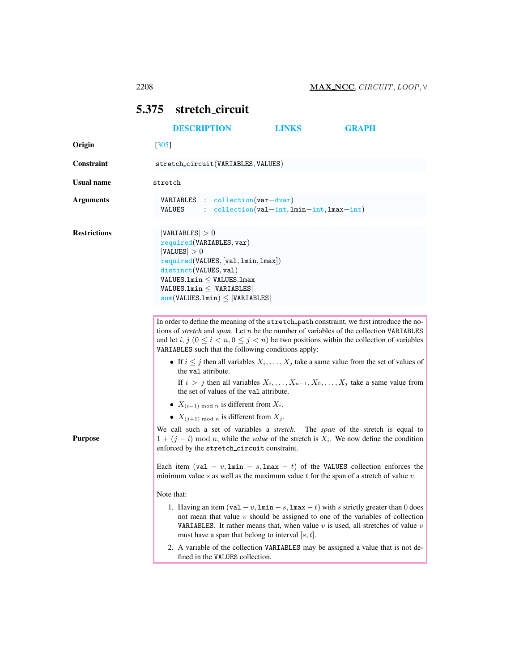## <span id="page-0-1"></span><span id="page-0-0"></span>5.375 stretch circuit

|                     | <b>DESCRIPTION</b>                                                                                                                                                                                                                                                                                                                                                                                                                                                   | <b>LINKS</b>                                | <b>GRAPH</b> |
|---------------------|----------------------------------------------------------------------------------------------------------------------------------------------------------------------------------------------------------------------------------------------------------------------------------------------------------------------------------------------------------------------------------------------------------------------------------------------------------------------|---------------------------------------------|--------------|
| Origin              | [305]                                                                                                                                                                                                                                                                                                                                                                                                                                                                |                                             |              |
| <b>Constraint</b>   | stretch_circuit(VARIABLES, VALUES)                                                                                                                                                                                                                                                                                                                                                                                                                                   |                                             |              |
| <b>Usual name</b>   | stretch                                                                                                                                                                                                                                                                                                                                                                                                                                                              |                                             |              |
| <b>Arguments</b>    | VARIABLES : collection (var-dvar)<br><b>VALUES</b>                                                                                                                                                                                                                                                                                                                                                                                                                   | $:$ collection(val-int, lmin-int, lmax-int) |              |
| <b>Restrictions</b> | VARIABLES  > 0<br>required(VARIABLES, var)<br> VALUES  > 0<br>required(VALUES, [val, lmin, lmax])<br>distinct(VALUES, val)<br>$VALUES.Lmin \leq$ VALUES.1max<br>$VALUES.Lmin \leq  VARIABLES $<br>$sum(VALUES.lmin) \leq  VARIABLES $                                                                                                                                                                                                                                |                                             |              |
|                     | In order to define the meaning of the stretch_path constraint, we first introduce the no-<br>tions of <i>stretch</i> and <i>span</i> . Let $n$ be the number of variables of the collection VARIABLES<br>and let i, $j$ $(0 \le i < n, 0 \le j < n)$ be two positions within the collection of variables<br>VARIABLES such that the following conditions apply:<br>• If $i \leq j$ then all variables $X_i, \ldots, X_j$ take a same value from the set of values of |                                             |              |
|                     | the val attribute.<br>If $i > j$ then all variables $X_i, \ldots, X_{n-1}, X_0, \ldots, X_j$ take a same value from<br>the set of values of the valattribute.                                                                                                                                                                                                                                                                                                        |                                             |              |
|                     | • $X_{(i-1) \bmod n}$ is different from $X_i$ .                                                                                                                                                                                                                                                                                                                                                                                                                      |                                             |              |
|                     | • $X_{(j+1) \bmod n}$ is different from $X_j$ .                                                                                                                                                                                                                                                                                                                                                                                                                      |                                             |              |
| <b>Purpose</b>      | We call such a set of variables a stretch. The span of the stretch is equal to<br>$1 + (j - i)$ mod <i>n</i> , while the <i>value</i> of the stretch is $X_i$ . We now define the condition<br>enforced by the stretch_circuit constraint.                                                                                                                                                                                                                           |                                             |              |
|                     | Each item (val – v, $lmin - s$ , $lmax - t$ ) of the VALUES collection enforces the<br>minimum value s as well as the maximum value t for the span of a stretch of value $v$ .                                                                                                                                                                                                                                                                                       |                                             |              |
|                     | Note that:                                                                                                                                                                                                                                                                                                                                                                                                                                                           |                                             |              |
|                     | 1. Having an item $(\text{val} - v, \text{lmin} - s, \text{lmax} - t)$ with s strictly greater than 0 does<br>not mean that value $v$ should be assigned to one of the variables of collection<br><b>VARIABLES.</b> It rather means that, when value v is used, all stretches of value v<br>must have a span that belong to interval $ s, t $ .                                                                                                                      |                                             |              |
|                     | 2. A variable of the collection VARIABLES may be assigned a value that is not de-<br>fined in the VALUES collection.                                                                                                                                                                                                                                                                                                                                                 |                                             |              |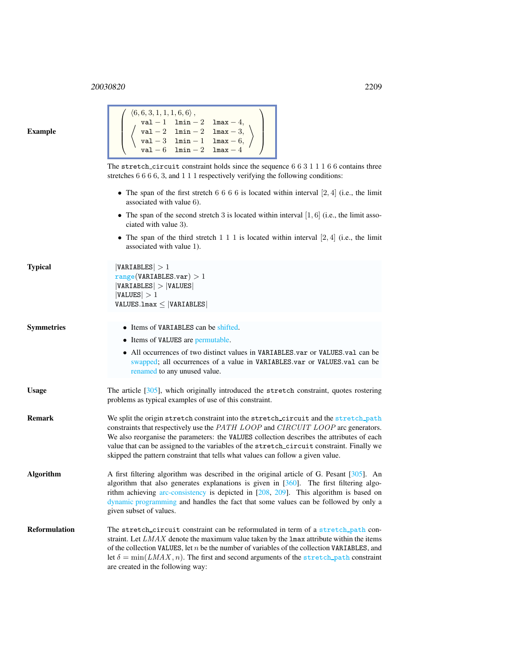## <sup>20030820</sup> 2209

| xample |
|--------|
|--------|

| $\left( \begin{array}{c} \langle 6,6,3,1,1,1,6,6\rangle\,, \\ {\rm val}-1\quad\text{Inin}-2\quad\text{Im}{\tt a}{\tt x}-4, \\ \langle\text{val}-2\quad\text{Inin}-2\quad\text{Im}{\tt a}{\tt x}-3, \\ {\rm val}-3\quad\text{Inin}-1\quad\text{Im}{\tt a}{\tt x}-6, \\ {\rm val}-6\quad\text{Inin}-2\quad\text{Im}{\tt a}{\tt x}-4 \end{array} \right)$ |
|--------------------------------------------------------------------------------------------------------------------------------------------------------------------------------------------------------------------------------------------------------------------------------------------------------------------------------------------------------|
| The stretch circuit constraint holds since the sequence $6\ 6\ 3\ 1\ 1\ 1\ 6\ 6$ contains three                                                                                                                                                                                                                                                        |
| stretches $6666$ , 3, and $111$ respectively verifying the following conditions:                                                                                                                                                                                                                                                                       |
| • The span of the first stretch 6 6 6 6 is located within interval $[2, 4]$ (i.e., the limit                                                                                                                                                                                                                                                           |

within interval  $[2, 4]$  (i.e., the limit associated with value 6).

- The span of the second stretch 3 is located within interval  $[1, 6]$  (i.e., the limit associated with value 3).
- The span of the third stretch  $1 \ 1 \ 1$  is located within interval  $[2, 4]$  (i.e., the limit associated with value 1).

```
|VARIABLES| > 1range(VARIABLES.var) > 1|VARIABLES| > |VALUES||VALUES| > 1VALUES.lmax ≤ |VARIABLES|
```
Symmetries • Items of VARIABLES can be shifted.

- Items of VALUES are permutable.
- All occurrences of two distinct values in VARIABLES.var or VALUES.val can be swapped; all occurrences of a value in VARIABLES.var or VALUES.val can be renamed to any unused value.
- Usage The article  $[305]$ , which originally introduced the stretch constraint, quotes rostering problems as typical examples of use of this constraint.
- Remark We split the origin stretch constraint into the stretch\_circuit and the stretch\_path constraints that respectively use the PATH LOOP and CIRCUIT LOOP arc generators. We also reorganise the parameters: the VALUES collection describes the attributes of each value that can be assigned to the variables of the stretch circuit constraint. Finally we skipped the pattern constraint that tells what values can follow a given value.
- Algorithm A first filtering algorithm was described in the original article of G. Pesant [305]. An algorithm that also generates explanations is given in [360]. The first filtering algorithm achieving arc-consistency is depicted in [208, 209]. This algorithm is based on dynamic programming and handles the fact that some values can be followed by only a given subset of values.
- Reformulation The stretch\_circuit constraint can be reformulated in term of a stretch\_path constraint. Let  $LMAX$  denote the maximum value taken by the  $\text{Lmax}$  attribute within the items of the collection VALUES, let  $n$  be the number of variables of the collection VARIABLES, and let  $\delta = \min(LMAX, n)$ . The first and second arguments of the stretch path constraint are created in the following way: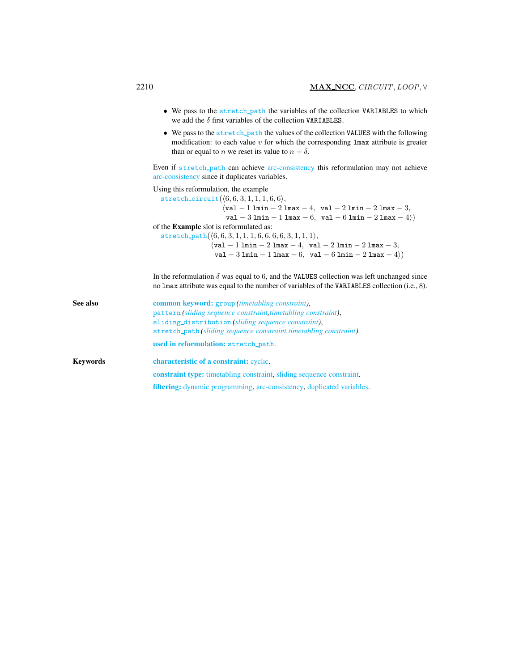|          | • We pass to the stretch path the variables of the collection VARIABLES to which<br>we add the $\delta$ first variables of the collection VARIABLES.                                                                                                                                                                                                                                                                                                                                                                                     |
|----------|------------------------------------------------------------------------------------------------------------------------------------------------------------------------------------------------------------------------------------------------------------------------------------------------------------------------------------------------------------------------------------------------------------------------------------------------------------------------------------------------------------------------------------------|
|          | • We pass to the stretch_path the values of the collection VALUES with the following<br>modification: to each value $v$ for which the corresponding $\text{Lmax}$ attribute is greater<br>than or equal to <i>n</i> we reset its value to $n + \delta$ .                                                                                                                                                                                                                                                                                 |
|          | Even if stretch_path can achieve arc-consistency this reformulation may not achieve<br>arc-consistency since it duplicates variables.                                                                                                                                                                                                                                                                                                                                                                                                    |
|          | Using this reformulation, the example<br>stretch_circuit $(\langle 6,6,3,1,1,1,6,6 \rangle,$<br>$\langle \mathtt{val}-1\ \mathtt{lmin}-2\ \mathtt{lmax}-4,\ \mathtt{val}-2\ \mathtt{lmin}-2\ \mathtt{lmax}-3,$<br>val - 3 lmin - 1 lmax - 6, val - 6 lmin - 2 lmax - 4 $)$<br>of the Example slot is reformulated as:<br>stretch_path $(\langle 6, 6, 3, 1, 1, 1, 6, 6, 6, 6, 3, 1, 1, 1 \rangle,$<br>$\sqrt{val - 1 \ln n - 2 \ln n - 4}$ , $val - 2 \ln n - 2 \ln n - 3$ ,<br>val - 3 lmin - 1 lmax - 6, val - 6 lmin - 2 lmax - 4 $)$ |
|          | In the reformulation $\delta$ was equal to 6, and the VALUES collection was left unchanged since<br>no lmax attribute was equal to the number of variables of the VARIABLES collection (i.e., 8).                                                                                                                                                                                                                                                                                                                                        |
| See also | <b>common keyword:</b> group <i>(timetabling constraint)</i> ,<br>pattern (sliding sequence constraint, timetabling constraint),<br>sliding_distribution (sliding sequence constraint),                                                                                                                                                                                                                                                                                                                                                  |

stretch path *(sliding sequence constraint,timetabling constraint)*.

<span id="page-2-0"></span>Keywords characteristic of a constraint: cyclic. constraint type: timetabling constraint, sliding sequence constraint. filtering: dynamic programming, arc-consistency, duplicated variables.

used in reformulation: stretch path.